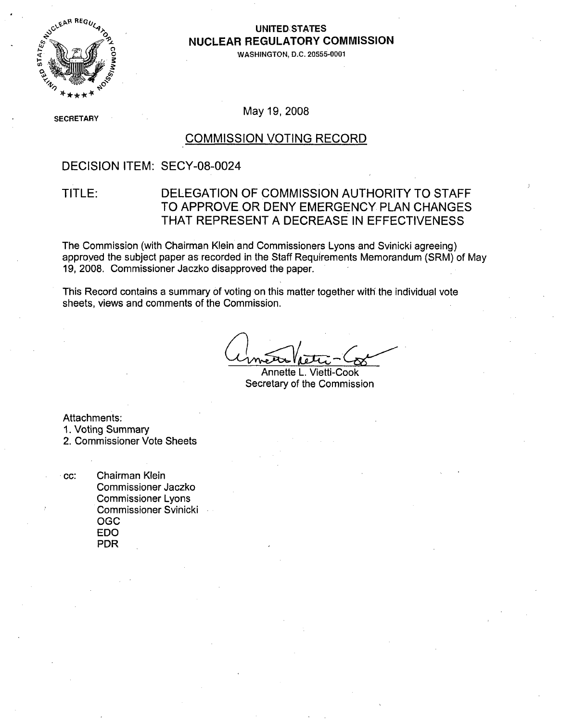

### **UNITED STATES NUCLEAR** REGULATORY **COMMISSION**

**WASHINGTON, D.C. 20555-0001**

**SECRETARY** 

May 19, 2008

### **COMMISSION VOTING** RECORD

### DECISION ITEM: SECY-08-0024

## TITLE: DELEGATION OF COMMISSION AUTHORITY TO STAFF TO APPROVE OR DENY EMERGENCY PLAN CHANGES THAT REPRESENT A DECREASE IN EFFECTIVENESS

The Commission (with Chairman Klein and Commissioners Lyons-and Svinicki agreeing) approved the subject paper as recorded in the Staff Requirements Memorandum (SRM) of May 19, 2008. Commissioner Jaczko disapproved the paper.

This Record contains a summary of voting on this matter together with the individual vote sheets, views and comments of the Commission.

Annette L. Vietti-Cook Secretary of the Commission

Attachments:

1. Voting Summary

2. Commissioner Vote Sheets

cc: Chairman Klein Commissioner Jaczko Commissioner Lyons Commissioner Svinicki OGC EDO PDR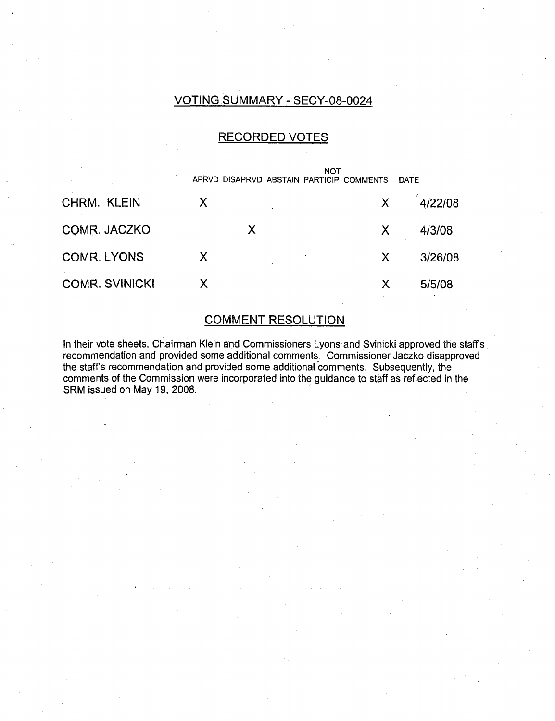## VOTING SUMMARY - SECY-08-0024

## RECORDED VOTES

|                       |   | APRVD DISAPRVD ABSTAIN PARTICIP COMMENTS | NOT | <b>DATE</b> |
|-----------------------|---|------------------------------------------|-----|-------------|
| <b>CHRM. KLEIN</b>    |   |                                          | X   | 4/22/08     |
| COMR. JACZKO          |   | X                                        | X   | 4/3/08      |
| <b>COMR. LYONS</b>    | X |                                          | Х   | 3/26/08     |
| <b>COMR. SVINICKI</b> | X |                                          | Χ   | 5/5/08      |

## COMMENT RESOLUTION

In their vote sheets, Chairman Klein and Commissioners Lyons and Svinicki approved the staffs recommendation and provided some additional comments. Commissioner Jaczko disapproved the staff's recommendation and provided some additional comments. Subsequently, the comments of the Commission were incorporated into the guidance to staff as reflected in the SRM issued on May 19, 2008.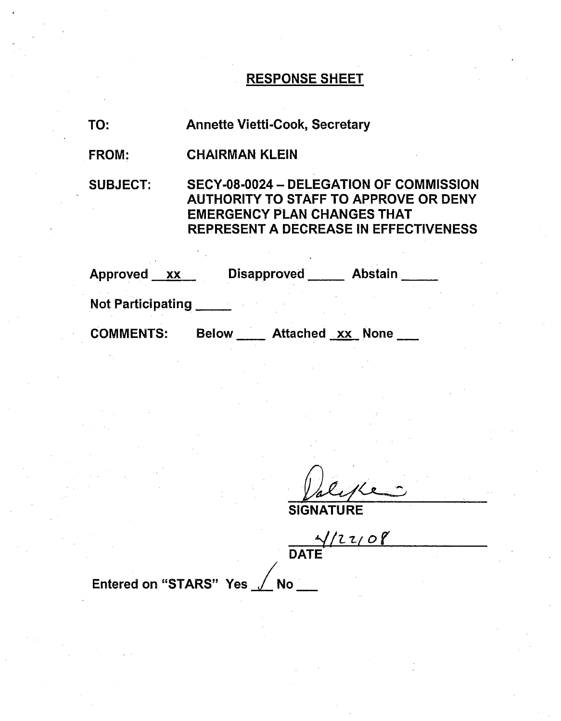# RESPONSE SHEET

| TO:                     | <b>Annette Vietti-Cook, Secretary</b>                                                                                                                                         |  |  |
|-------------------------|-------------------------------------------------------------------------------------------------------------------------------------------------------------------------------|--|--|
| <b>FROM:</b>            | <b>CHAIRMAN KLEIN</b>                                                                                                                                                         |  |  |
| <b>SUBJECT:</b>         | SECY-08-0024 - DELEGATION OF COMMISSION<br><b>AUTHORITY TO STAFF TO APPROVE OR DENY</b><br><b>EMERGENCY PLAN CHANGES THAT</b><br><b>REPRESENT A DECREASE IN EFFECTIVENESS</b> |  |  |
|                         | Approved xx Disapproved Abstain                                                                                                                                               |  |  |
| Not Participating _____ |                                                                                                                                                                               |  |  |
| <b>COMMENTS:</b>        | Below __ Attached xx None                                                                                                                                                     |  |  |

**SIGNATURE** 

,,!-Z/-.- *or* DATE

Entered on "STARS" Yes / No \_\_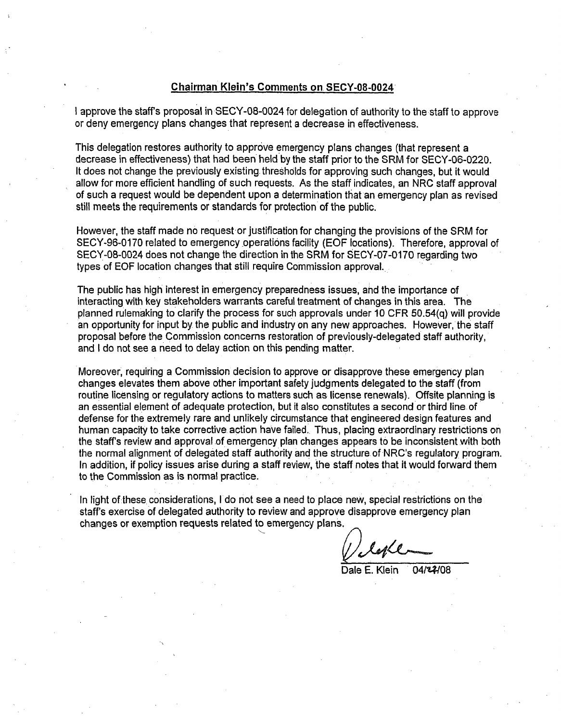### Chairman Klein's Comments on. SECY-08-0024

I approve the staffs proposal in SECY-08-0024 for delegation of authority to the staff to approve or deny emergency plans changes that represent a decrease in effectiveness.

This delegation restores authority to approve emergency plans changes (that represent a decrease in effectiveness) that had been held by the staff prior to the SRM for SECY-06-0220. It does not change the previously existing thresholds for approving such changes, but it would allow for more efficient handling of such requests. As the staff indicates, an NRC staff approval of such a request would be dependent upon a determination that an emergency plan as revised still meets the requirements or standards for protection of the public.

However, the staff made no request-or justification for changing the provisions of the SRM for SECY-96-0170 related to emergency operations facility (EOF locations). Therefore, approval of SECY-08-0024 does not change the direction in the SRM for SECY-07-0170 regarding two types of EOF location changes that still require Commission approval.

The public has high interest in emergency preparedness issues, and the importance of interacting with key stakeholders warrants careful treatment of changes in this area. The planned rulemaking to clarify the process for such approvals under 10 CFR 50.54(q) will provide an opportunity for input by the public and industry on any new approaches. However, the staff proposal before the Commission concerns restoration of previously-delegated staff authority, and I do not see a need to delay action on this pending matter.

Moreover, requiring a Commission decision to approve or disapprove these emergency plan changes elevates them above other important safety judgments delegated to the staff (from routine licensing or regulatory actions to matters such as license renewals). Offsite planning is an essential element of adequate protection, but it also constitutes a second or third line of defense for the extremely rare and unlikely circumstance that engineered design features and human capacity to take corrective action have failed. Thus, placing extraordinary restrictions on the staff's review and approval of emergency plan changes appears to be inconsistent with both the normal alignment of delegated staff authority and the structure of NRC's regulatory program. In addition, if policy issues arise during a staff review, the staff notes that it would forward them to the Commission as is normal practice.

In light of these considerations, I do not see a need to place new, special restrictions on the staff's exercise of delegated authority to review and approve disapprove emergency plan changes or exemption requests related to emergency plans.

' lyle

Dale E. Klein 04/22/08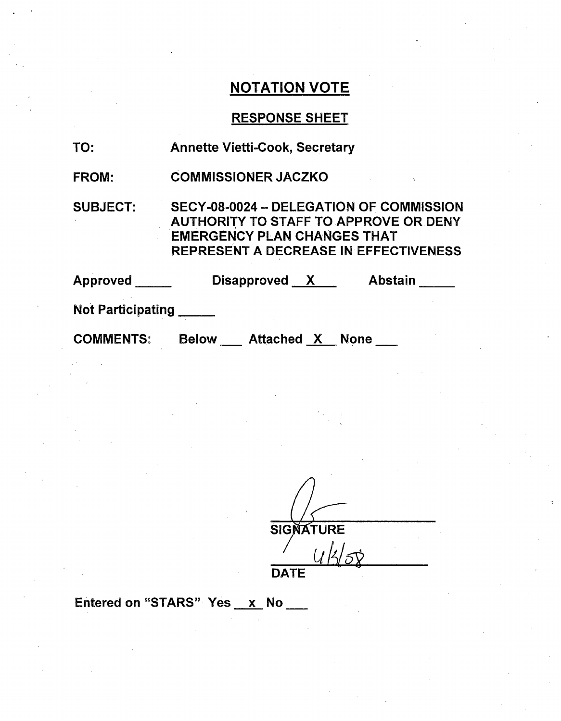# NOTATION VOTE

# RESPONSE SHEET

| TO:               | <b>Annette Vietti-Cook, Secretary</b>                                                                                                                                         |
|-------------------|-------------------------------------------------------------------------------------------------------------------------------------------------------------------------------|
| <b>FROM:</b>      | <b>COMMISSIONER JACZKO</b>                                                                                                                                                    |
| <b>SUBJECT:</b>   | SECY-08-0024 - DELEGATION OF COMMISSION<br><b>AUTHORITY TO STAFF TO APPROVE OR DENY</b><br><b>EMERGENCY PLAN CHANGES THAT</b><br><b>REPRESENT A DECREASE IN EFFECTIVENESS</b> |
| Approved          | Disapproved X<br>Abstain                                                                                                                                                      |
| Not Participating |                                                                                                                                                                               |
| <b>COMMENTS:</b>  | <b>Below</b><br>Attached X None                                                                                                                                               |

**SIGNATURE** ربرل  $^{\prime}$ ක්

**DATE** 

Entered on "STARS" Yes  $x$  No  $-$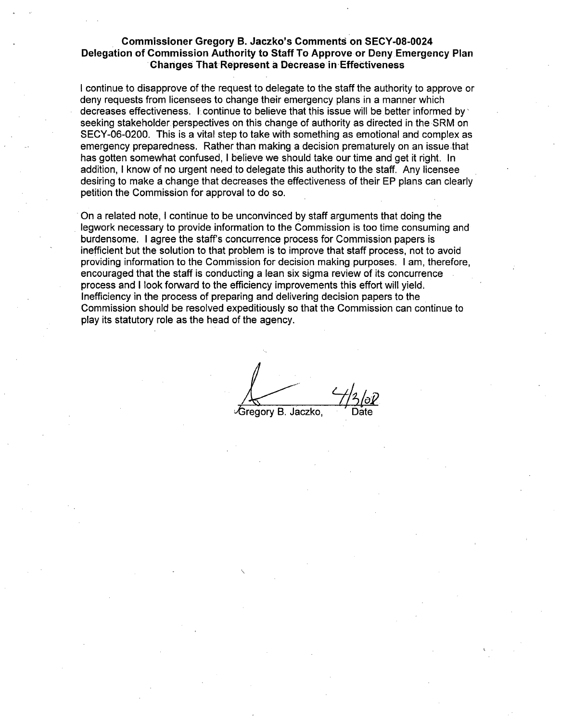### Commissioner Gregory B. Jaczko's Comments on SECY-08-0024 Delegation of Commission Authority to Staff To Approve or Deny Emergency Plan Changes That-Represent a Decrease in-Effectiveness

I continue to disapprove of the request to delegate to the staff the authority to approve or deny requests from licensees to change their emergency plans in a manner which decreases effectiveness. **I** continue to believe that this issue will be better informed **by,** seeking stakeholder perspectives on this change of authority as directed in the SRM on SECY-06-0200. This is a vital step to take with something as emotional and complex as emergency preparedness. Rather than making a decision prematurely on an issue that has gotten somewhat confused, I believe we should take our time and get it right. In addition, I know of no urgent need to delegate this authority to the staff. Any licensee desiring to make a change that decreases the effectiveness of their EP plans can clearly petition the Commission for approval to do so.

On a related note, I continue to be unconvinced by staff arguments that doing the legwork necessary to provide information to the Commission is too time consuming and burdensome. I agree the staff's concurrence process for Commission papers is inefficient but the solution to that problem is to improve that staff process, not to avoid providing information to the Commission for decision making purposes. I am, therefore, encouraged that the staff is conducting a lean six sigma review of its concurrence process and I look forward to the efficiency improvements this effort will yield, Inefficiency in the process of preparing and delivering decision papers to the Commission should be resolved expeditiously so that the Commission can continue to play its statutory role as the head of the agency.

√Gregory B. Jaczko,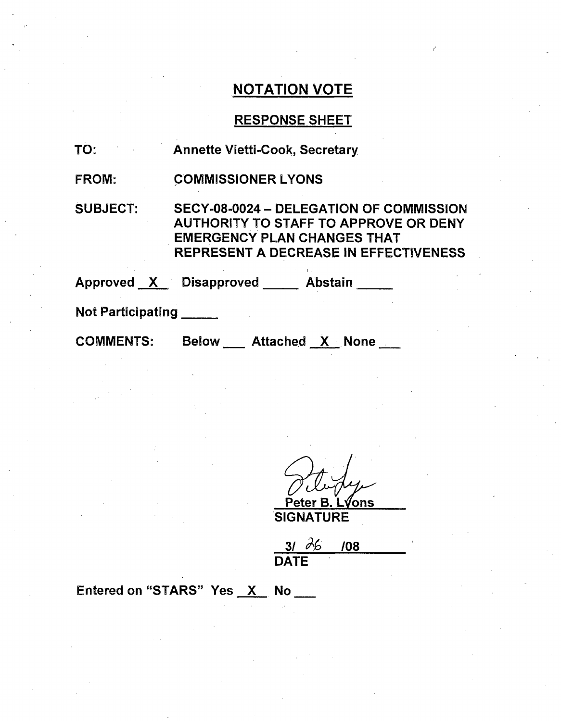## NOTATION VOTE

### RESPONSE SHEET

- TO: Annette Vietti-Cook, Secretary
- FROM: COMMISSIONER LYONS

SUBJECT: SECY-08-0024 - DELEGATION OF COMMISSION AUTHORITY TO STAFF TO APPROVE OR DENY EMERGENCY PLAN CHANGES THAT REPRESENT A DECREASE IN EFFECTIVENESS

Approved <u>X</u> Disapproved Abstair

Not Participating **\_**

COMMENTS:

Attached **X.** None

er B. L**√**ons

**SIGNATURE** 

 $31 \, \lambda 6 \, 108$ **DATE** 

Entered on "STARS" Yes X No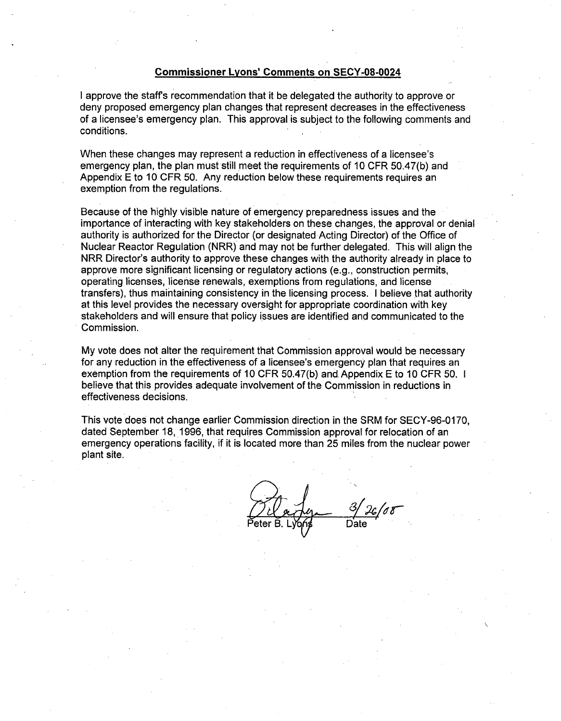#### Commissioner Lyons' Comments on SECY-08-0024

I approve the staff's recommendation that it be delegated the authority to approve or deny proposed emergency plan changes that represent decreases in the effectiveness of a licensee's emergency plan. This approval is subject to the following comments and conditions.

When these changes may represent a reduction in effectiveness of a licensee's emergency plan, the plan must still meet the requirements of 10 CFR 50.47(b) and Appendix E to 10 CFR 50. Any reduction below these requirements requires an exemption from the regulations.

Because of the highly visible nature of emergency preparedness issues and the importance of interacting with key stakeholders on these changes, the approval or denial authority is authorized for the Director (or designated Acting Director) of the Office of Nuclear Reactor Regulation (NRR) and may not be further delegated. This will align the NRR Director's authority to approve these changes with the authority already in place to approve more significant licensing or regulatory actions (e.g., construction permits, operating licenses, license renewals, exemptions from regulations, and license transfers), thus maintaining consistency in the licensing process. I believe thatauthority at this level provides the necessary oversight for appropriate coordination with key stakeholders and will ensure that policy issues are identified and communicated to the Commission.

My vote does not alter the requirement that Commission approval would be necessary for any reduction in the effectiveness of a licensee's emergency plan that requires an exemption from the requirements of 10 CFR 50.47(b) and Appendix E to 10 CFR 50. I believe that this provides adequate involvement of the Commission in reductions in effectiveness decisions.

This vote does not change earlier Commission direction in the SRM for SECY-96-0170, dated September 18, 1996, that requires Commission approval for relocation of an emergency operations facility, if it is located more than 25 miles from the nuclear power plant site.

Date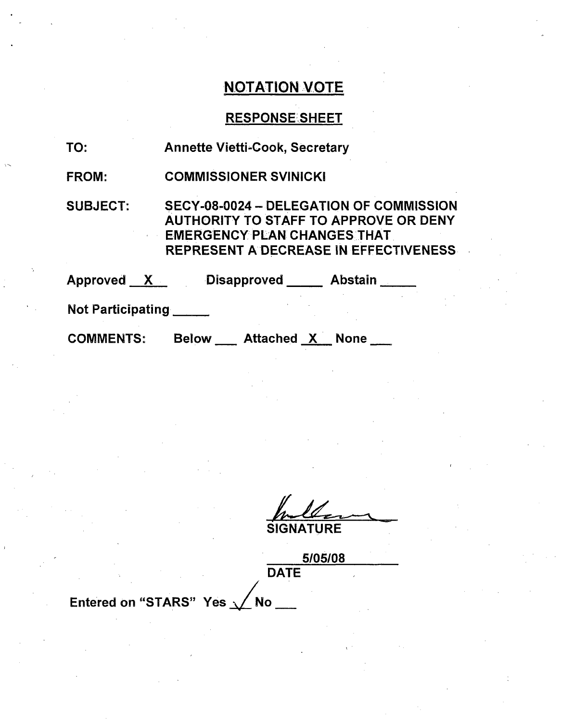# **NOTATION VOTE**

# RESPONSE SHEET

| TO:                      | <b>Annette Vietti-Cook, Secretary</b>                                                                                                                                  |  |  |
|--------------------------|------------------------------------------------------------------------------------------------------------------------------------------------------------------------|--|--|
| <b>FROM:</b>             | <b>COMMISSIONER SVINICKI</b>                                                                                                                                           |  |  |
| <b>SUBJECT:</b>          | SECY-08-0024 - DELEGATION OF COMMISSION<br><b>AUTHORITY TO STAFF TO APPROVE OR DENY</b><br><b>EMERGENCY PLAN CHANGES THAT</b><br>REPRESENT A DECREASE IN EFFECTIVENESS |  |  |
| Approved X               | <b>Disapproved</b><br>Abstain                                                                                                                                          |  |  |
| <b>Not Participating</b> |                                                                                                                                                                        |  |  |

COMMENTS: Below \_\_ Attached X None \_\_

**SIGNATURE** 

5/05108 **DATE** 

Entered on "STARS" Yes  $\sqrt{N}$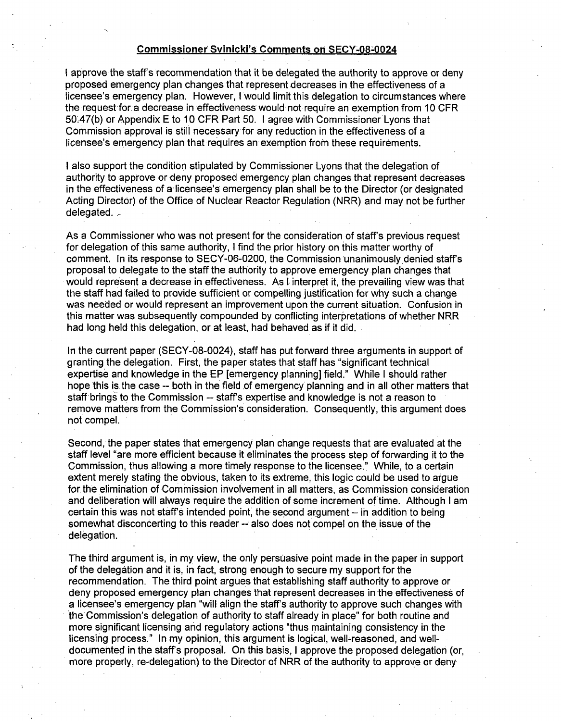#### Commissioner Svinicki's Comments on SECY-08-0024

I approve the staff's recommendation that it be delegated the authority to approve or deny proposed emergency plan changes that represent decreases in the effectiveness of a licensee's emergency plan. However, I would limit this delegation to circumstances where the request-for.a decrease in effectiveness would not require an exemption from 10 CFR 50'47(b) or Appendix E to 10 CFR Part 50. I agree with Commissioner Lyons that Commission approval is still necessary for any reduction in the effectiveness of a licensee's emergency plan that requires an exemption from these requirements.

I also support the condition stipulated by Commissioner Lyons that the delegation of authority to approve or deny proposed emergency plan changes that represent decreases in the effectiveness of a licensee's emergency plan shall be to the Director (or designated Acting Director) of the Office of Nuclear Reactor Regulation (NRR) and may not be further delegated.

As a Commissioner who was not present for the consideration of staff's previous request for delegation of this same authority, I find the prior history on this matter worthy of comment. In its response to SECY-06-0200, the Commission unanimously denied staffs proposal to delegate to the staff the authority to approve emergency plan changes that would represent a decrease in effectiveness. As I interpret it, the prevailing view was that the staff had failed to provide sufficient or compelling justification for why such a change was needed or would represent an improvement upon the current situation. Confusion in this matter was subsequently compounded by conflicting interpretations of whether NRR had long held this delegation, or at least, had behaved as if it did.

In the current paper (SECY-08-0024), staff has put forward three arguments in support of granting the delegation. First, the paper states that staff has "significant technical expertise and knowledge in the EP [emergency planning] field." While I should rather hope this is the case -- both in the field of emergency planning and in all other matters that staff brings to the Commission -- staff's expertise and knowledge is not a reason to remove matters from the Commission's consideration. Consequently, this argument does not compel.

Second, the paper states that emergency plan change requests that are evaluated at the staff level "are more efficient because it eliminates the process step of forwarding it to the Commission, thus allowing a more timely response to the licensee." While, to a certain extent merely stating the obvious, taken to its extreme, this logic could be used to argue for the elimination of Commission involvement in all matters, as Commission consideration and deliberation will always require the addition of some increment of time. Although I am certain this was not staff's intended point, the second argument - in addition to being somewhat disconcerting to this reader -- also does not compel on the issue of the delegation.

The third argument is, in my view, the only persuasive point made in the paper in support of the delegation and it is, in fact, strong enough to secure my support for the recommendation. The third point argues that establishing staff authority to approve or deny proposed emergency plan changes that represent decreases in the effectiveness of a licensee's emergency plan "will align the staff's authority to approve such changes with the Commission's delegation of authority to staff already in place" for both routine and more significant licensing and regulatory actions "thus maintaining consistency in the licensing process." In my opinion, this argument is logical, well-reasoned, and welldocumented in the staff's proposal. On this basis, I approve the proposed delegation (or, more properly, re-delegation) to the Director of NRR of the authority to approve or deny